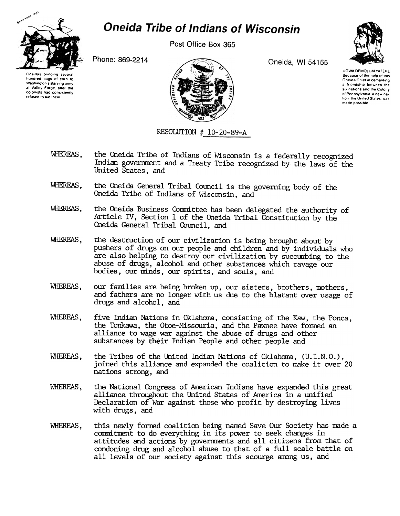

## **Oneida Tribe of Indians of Wisconsin**

Post Office Box 365

Oneida, WI 54155



Oneidas brinoino several hundred bags of corn to Washington's starving army at Valley Forge, after the colonists had consistently refused to aid them

Phone: 869-2214



**UGWA DEMOLUM YATEHE** Because of the help of this Oneida Chief in cementing a friendship between the six nations and the Colony of Pennsylvania, a new nation the United States, was made possible

RESOLUTION  $#$  10-20-89-A

- WHEREAS. the Oneida Tribe of Indians of Wisconsin is a federally recognized Indian government and a Treaty Tribe recognized by the laws of the United States, and
- WHEREAS. the Oneida General Tribal Council is the governing body of the Oneida Tribe of Indians of Wisconsin, and
- WHEREAS, the Oneida Business Committee has been delegated the authority of Article IV, Section 1 of the Oneida Tribal Constitution by the Oneida General Tribal Council, and
- WHEREAS. the destruction of our civilization is being brought about by pushers of drugs on our people and children and by individuals who are also helping to destroy our civilization by succumbing to the abuse of drugs, alcohol and other substances which ravage our bodies, our minds, our spirits, and souls, and
- WHEREAS, our families are being broken up, our sisters, brothers, mothers, and fathers are no longer with us due to the blatant over usage of drugs and alcohol, and
- WHEREAS. five Indian Nations in Oklahoma, consisting of the Kaw, the Ponca, the Tonkawa, the Otoe-Missouria, and the Pawnee have formed an alliance to wage war against the abuse of drugs and other substances by their Indian People and other people and
- WHEREAS. the Tribes of the United Indian Nations of Oklahoma. (U.I.N.O.). joined this alliance and expanded the coalition to make it over 20 nations strong, and
- WHEREAS, the National Congress of American Indians have expanded this great alliance throughout the United States of America in a unified Declaration of War against those who profit by destroying lives with drugs, and
- WHEREAS. this newly formed coalition being named Save Our Society has made a commitment to do everything in its power to seek changes in attitudes and actions by governments and all citizens from that of condoning drug and alcohol abuse to that of a full scale battle on all levels of our society against this scourge among us, and